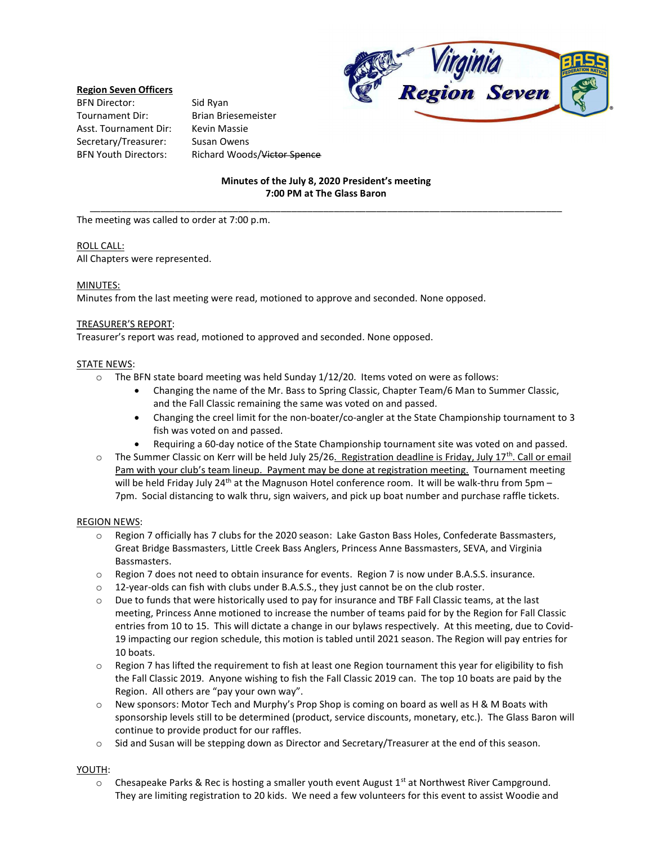

### Region Seven Officers

BFN Director: Sid Ryan Tournament Dir: Brian Briesemeister Asst. Tournament Dir: Kevin Massie Secretary/Treasurer: Susan Owens

BFN Youth Directors: Richard Woods/Victor Spence

# Minutes of the July 8, 2020 President's meeting 7:00 PM at The Glass Baron \_\_\_\_\_\_\_\_\_\_\_\_\_\_\_\_\_\_\_\_\_\_\_\_\_\_\_\_\_\_\_\_\_\_\_\_\_\_\_\_\_\_\_\_\_\_\_\_\_\_\_\_\_\_\_\_\_\_\_\_\_\_\_\_\_\_\_\_\_\_\_\_\_\_\_\_\_\_\_\_\_\_\_\_\_\_\_\_\_

The meeting was called to order at 7:00 p.m.

#### ROLL CALL:

All Chapters were represented.

### MINUTES:

Minutes from the last meeting were read, motioned to approve and seconded. None opposed.

#### TREASURER'S REPORT:

Treasurer's report was read, motioned to approved and seconded. None opposed.

#### STATE NEWS:

- $\circ$  The BFN state board meeting was held Sunday 1/12/20. Items voted on were as follows:
	- Changing the name of the Mr. Bass to Spring Classic, Chapter Team/6 Man to Summer Classic, and the Fall Classic remaining the same was voted on and passed.
	- Changing the creel limit for the non-boater/co-angler at the State Championship tournament to 3 fish was voted on and passed.
	- Requiring a 60-day notice of the State Championship tournament site was voted on and passed.
- $\circ$  The Summer Classic on Kerr will be held July 25/26. Registration deadline is Friday, July 17<sup>th</sup>. Call or email Pam with your club's team lineup. Payment may be done at registration meeting. Tournament meeting will be held Friday July 24<sup>th</sup> at the Magnuson Hotel conference room. It will be walk-thru from 5pm – 7pm. Social distancing to walk thru, sign waivers, and pick up boat number and purchase raffle tickets.

#### REGION NEWS:

- o Region 7 officially has 7 clubs for the 2020 season: Lake Gaston Bass Holes, Confederate Bassmasters, Great Bridge Bassmasters, Little Creek Bass Anglers, Princess Anne Bassmasters, SEVA, and Virginia Bassmasters.
- o Region 7 does not need to obtain insurance for events. Region 7 is now under B.A.S.S. insurance.
- o 12-year-olds can fish with clubs under B.A.S.S., they just cannot be on the club roster.
- o Due to funds that were historically used to pay for insurance and TBF Fall Classic teams, at the last meeting, Princess Anne motioned to increase the number of teams paid for by the Region for Fall Classic entries from 10 to 15. This will dictate a change in our bylaws respectively. At this meeting, due to Covid-19 impacting our region schedule, this motion is tabled until 2021 season. The Region will pay entries for 10 boats.
- o Region 7 has lifted the requirement to fish at least one Region tournament this year for eligibility to fish the Fall Classic 2019. Anyone wishing to fish the Fall Classic 2019 can. The top 10 boats are paid by the Region. All others are "pay your own way".
- o New sponsors: Motor Tech and Murphy's Prop Shop is coming on board as well as H & M Boats with sponsorship levels still to be determined (product, service discounts, monetary, etc.). The Glass Baron will continue to provide product for our raffles.
- o Sid and Susan will be stepping down as Director and Secretary/Treasurer at the end of this season.

#### YOUTH:

 $\circ$  Chesapeake Parks & Rec is hosting a smaller youth event August 1<sup>st</sup> at Northwest River Campground. They are limiting registration to 20 kids. We need a few volunteers for this event to assist Woodie and